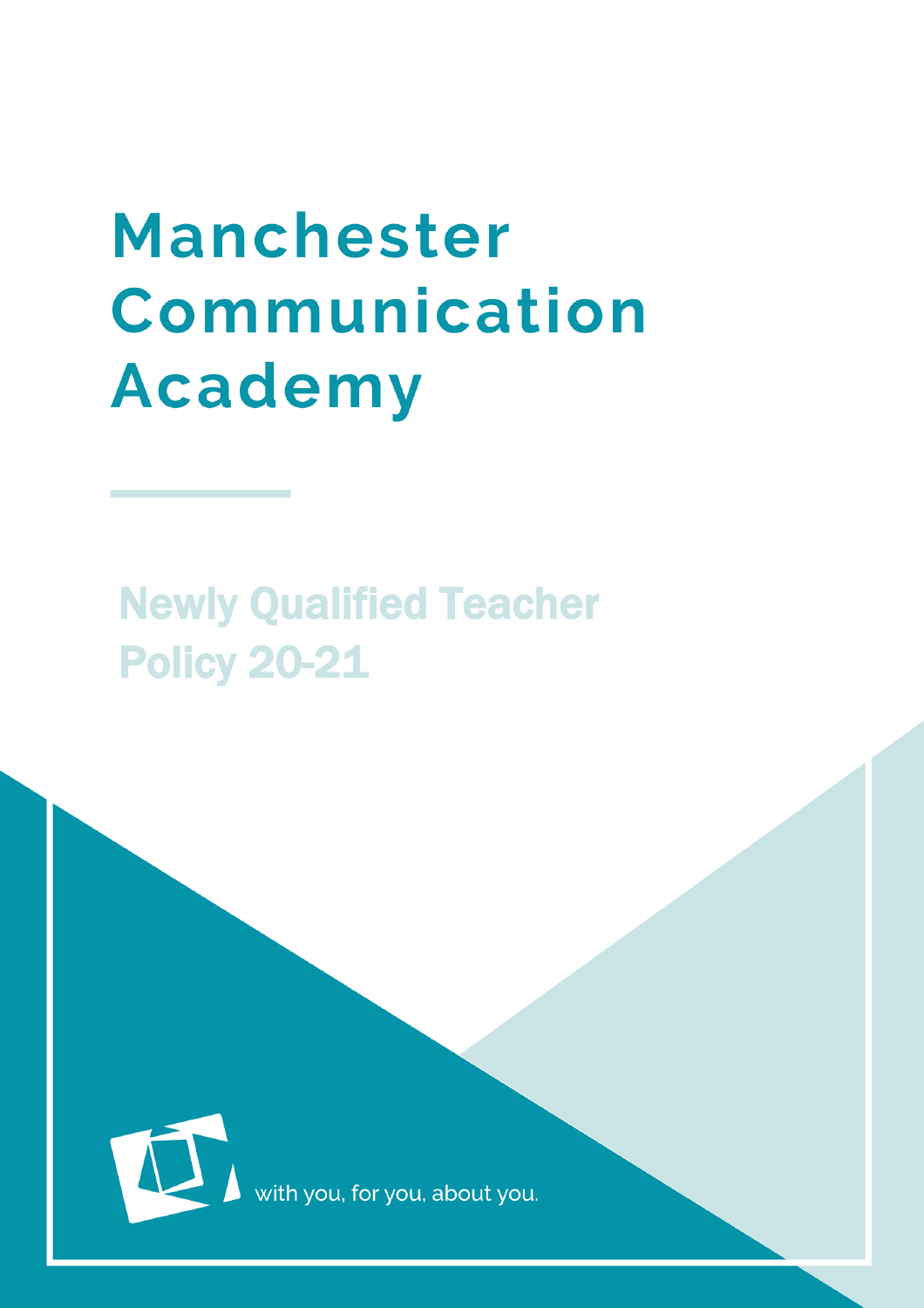# **Manchester** Communication **Academy**

# Newly Qualified Teacher Policy 20-21



with you, for you, about you.

MCA is a set of the set of the set of the set of the set of the set of the set of the set of the set of the set of the set of the set of the set of the set of the set of the set of the set of the set of the set of the set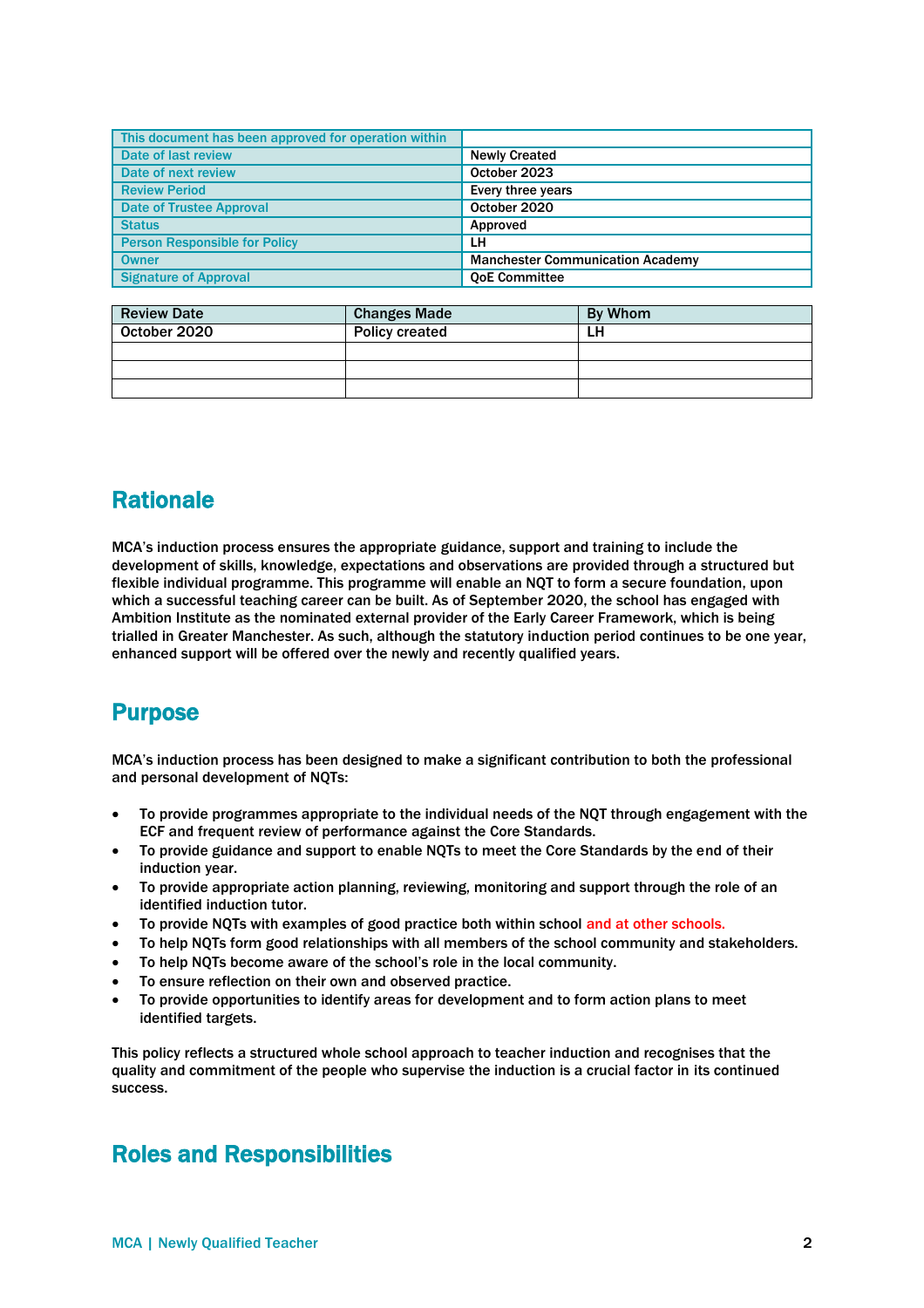| This document has been approved for operation within |                                         |  |
|------------------------------------------------------|-----------------------------------------|--|
| Date of last review                                  | <b>Newly Created</b>                    |  |
| Date of next review                                  | October 2023                            |  |
| <b>Review Period</b>                                 | Every three years                       |  |
| <b>Date of Trustee Approval</b>                      | October 2020                            |  |
| <b>Status</b>                                        | Approved                                |  |
| <b>Person Responsible for Policy</b>                 | LH                                      |  |
| <b>Owner</b>                                         | <b>Manchester Communication Academy</b> |  |
| <b>Signature of Approval</b>                         | <b>OoE Committee</b>                    |  |

| <b>Review Date</b> | <b>Changes Made</b>   | By Whom |
|--------------------|-----------------------|---------|
| October 2020       | <b>Policy created</b> | LH      |
|                    |                       |         |
|                    |                       |         |
|                    |                       |         |

# **Rationale**

MCA's induction process ensures the appropriate guidance, support and training to include the development of skills, knowledge, expectations and observations are provided through a structured but flexible individual programme. This programme will enable an NQT to form a secure foundation, upon which a successful teaching career can be built. As of September 2020, the school has engaged with Ambition Institute as the nominated external provider of the Early Career Framework, which is being trialled in Greater Manchester. As such, although the statutory induction period continues to be one year, enhanced support will be offered over the newly and recently qualified years.

# Purpose

MCA's induction process has been designed to make a significant contribution to both the professional and personal development of NQTs:

- To provide programmes appropriate to the individual needs of the NQT through engagement with the ECF and frequent review of performance against the Core Standards.
- To provide guidance and support to enable NQTs to meet the Core Standards by the end of their induction year.
- To provide appropriate action planning, reviewing, monitoring and support through the role of an identified induction tutor.
- To provide NQTs with examples of good practice both within school and at other schools.
- To help NQTs form good relationships with all members of the school community and stakeholders.
- To help NQTs become aware of the school's role in the local community.
- To ensure reflection on their own and observed practice.
- To provide opportunities to identify areas for development and to form action plans to meet identified targets.

This policy reflects a structured whole school approach to teacher induction and recognises that the quality and commitment of the people who supervise the induction is a crucial factor in its continued success.

#### Roles and Responsibilities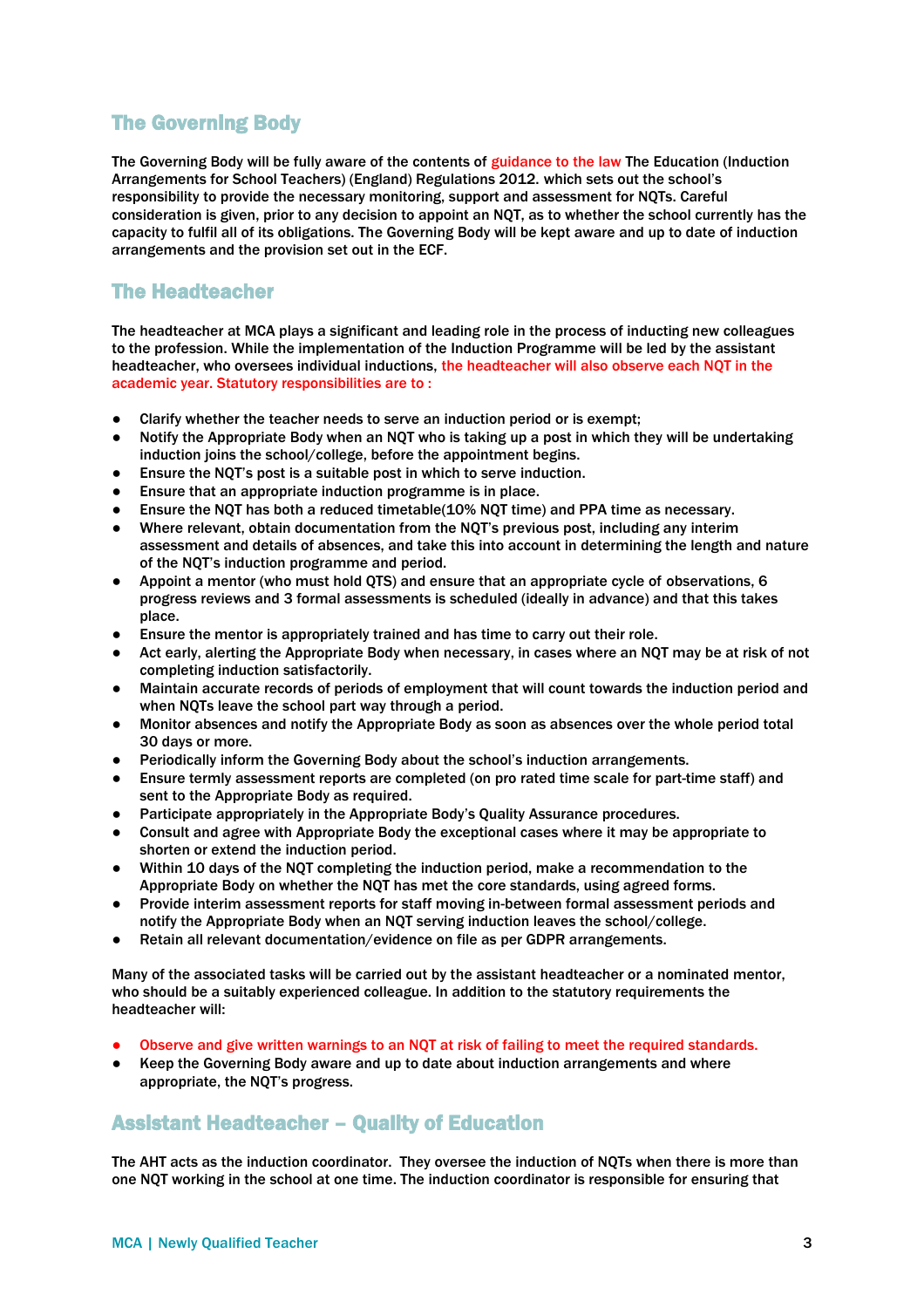#### The Governing Body

The Governing Body will be fully aware of the contents of guidance to the law The Education (Induction Arrangements for School Teachers) (England) Regulations 2012. which sets out the school's responsibility to provide the necessary monitoring, support and assessment for NQTs. Careful consideration is given, prior to any decision to appoint an NQT, as to whether the school currently has the capacity to fulfil all of its obligations. The Governing Body will be kept aware and up to date of induction arrangements and the provision set out in the ECF.

#### The Headteacher

The headteacher at MCA plays a significant and leading role in the process of inducting new colleagues to the profession. While the implementation of the Induction Programme will be led by the assistant headteacher, who oversees individual inductions, the headteacher will also observe each NQT in the academic year. Statutory responsibilities are to :

- Clarify whether the teacher needs to serve an induction period or is exempt:
- Notify the Appropriate Body when an NOT who is taking up a post in which they will be undertaking induction joins the school/college, before the appointment begins.
- Ensure the NQT's post is a suitable post in which to serve induction.
- Ensure that an appropriate induction programme is in place.
- Ensure the NQT has both a reduced timetable( $10\%$  NQT time) and PPA time as necessary.
- Where relevant, obtain documentation from the NQT's previous post, including any interim assessment and details of absences, and take this into account in determining the length and nature of the NQT's induction programme and period.
- Appoint a mentor (who must hold QTS) and ensure that an appropriate cycle of observations, 6 progress reviews and 3 formal assessments is scheduled (ideally in advance) and that this takes place.
- Ensure the mentor is appropriately trained and has time to carry out their role.
- Act early, alerting the Appropriate Body when necessary, in cases where an NQT may be at risk of not completing induction satisfactorily.
- Maintain accurate records of periods of employment that will count towards the induction period and when NQTs leave the school part way through a period.
- Monitor absences and notify the Appropriate Body as soon as absences over the whole period total 30 days or more.
- Periodically inform the Governing Body about the school's induction arrangements.
- Ensure termly assessment reports are completed (on pro rated time scale for part-time staff) and sent to the Appropriate Body as required.
- Participate appropriately in the Appropriate Body's Quality Assurance procedures.
- Consult and agree with Appropriate Body the exceptional cases where it may be appropriate to shorten or extend the induction period.
- Within 10 days of the NQT completing the induction period, make a recommendation to the Appropriate Body on whether the NQT has met the core standards, using agreed forms.
- Provide interim assessment reports for staff moving in-between formal assessment periods and notify the Appropriate Body when an NQT serving induction leaves the school/college.
- Retain all relevant documentation/evidence on file as per GDPR arrangements.

Many of the associated tasks will be carried out by the assistant headteacher or a nominated mentor, who should be a suitably experienced colleague. In addition to the statutory requirements the headteacher will:

- Observe and give written warnings to an NQT at risk of failing to meet the required standards.
- Keep the Governing Body aware and up to date about induction arrangements and where appropriate, the NQT's progress.

#### Assistant Headteacher – Quality of Education

The AHT acts as the induction coordinator. They oversee the induction of NQTs when there is more than one NQT working in the school at one time. The induction coordinator is responsible for ensuring that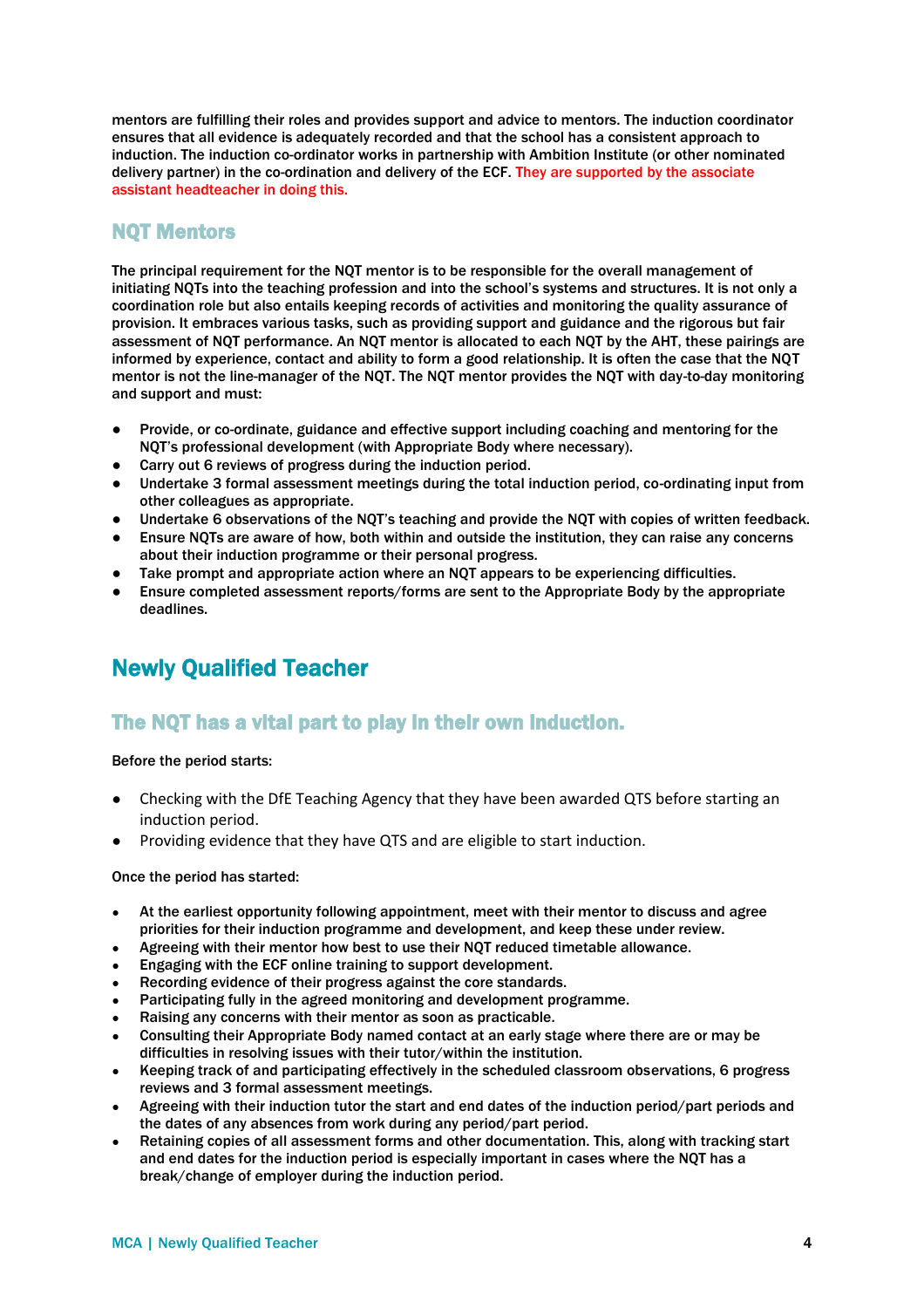mentors are fulfilling their roles and provides support and advice to mentors. The induction coordinator ensures that all evidence is adequately recorded and that the school has a consistent approach to induction. The induction co-ordinator works in partnership with Ambition Institute (or other nominated delivery partner) in the co-ordination and delivery of the ECF. They are supported by the associate assistant headteacher in doing this.

#### NQT Mentors

The principal requirement for the NQT mentor is to be responsible for the overall management of initiating NQTs into the teaching profession and into the school's systems and structures. It is not only a coordination role but also entails keeping records of activities and monitoring the quality assurance of provision. It embraces various tasks, such as providing support and guidance and the rigorous but fair assessment of NQT performance. An NQT mentor is allocated to each NQT by the AHT, these pairings are informed by experience, contact and ability to form a good relationship. It is often the case that the NQT mentor is not the line-manager of the NQT. The NQT mentor provides the NQT with day-to-day monitoring and support and must:

- Provide, or co-ordinate, guidance and effective support including coaching and mentoring for the NQT's professional development (with Appropriate Body where necessary).
- Carry out 6 reviews of progress during the induction period.
- Undertake 3 formal assessment meetings during the total induction period, co-ordinating input from other colleagues as appropriate.
- Undertake 6 observations of the NQT's teaching and provide the NQT with copies of written feedback.
- Ensure NQTs are aware of how, both within and outside the institution, they can raise any concerns about their induction programme or their personal progress.
- Take prompt and appropriate action where an NQT appears to be experiencing difficulties.
- Ensure completed assessment reports/forms are sent to the Appropriate Body by the appropriate deadlines.

# Newly Qualified Teacher

#### The NQT has a vital part to play in their own induction.

#### Before the period starts:

- Checking with the DfE Teaching Agency that they have been awarded QTS before starting an induction period.
- Providing evidence that they have QTS and are eligible to start induction.

Once the period has started:

- At the earliest opportunity following appointment, meet with their mentor to discuss and agree priorities for their induction programme and development, and keep these under review.
- Agreeing with their mentor how best to use their NQT reduced timetable allowance.
- Engaging with the ECF online training to support development.
- Recording evidence of their progress against the core standards.
- Participating fully in the agreed monitoring and development programme.
- Raising any concerns with their mentor as soon as practicable.
- Consulting their Appropriate Body named contact at an early stage where there are or may be difficulties in resolving issues with their tutor/within the institution.
- Keeping track of and participating effectively in the scheduled classroom observations, 6 progress reviews and 3 formal assessment meetings.
- Agreeing with their induction tutor the start and end dates of the induction period/part periods and the dates of any absences from work during any period/part period.
- Retaining copies of all assessment forms and other documentation. This, along with tracking start and end dates for the induction period is especially important in cases where the NQT has a break/change of employer during the induction period.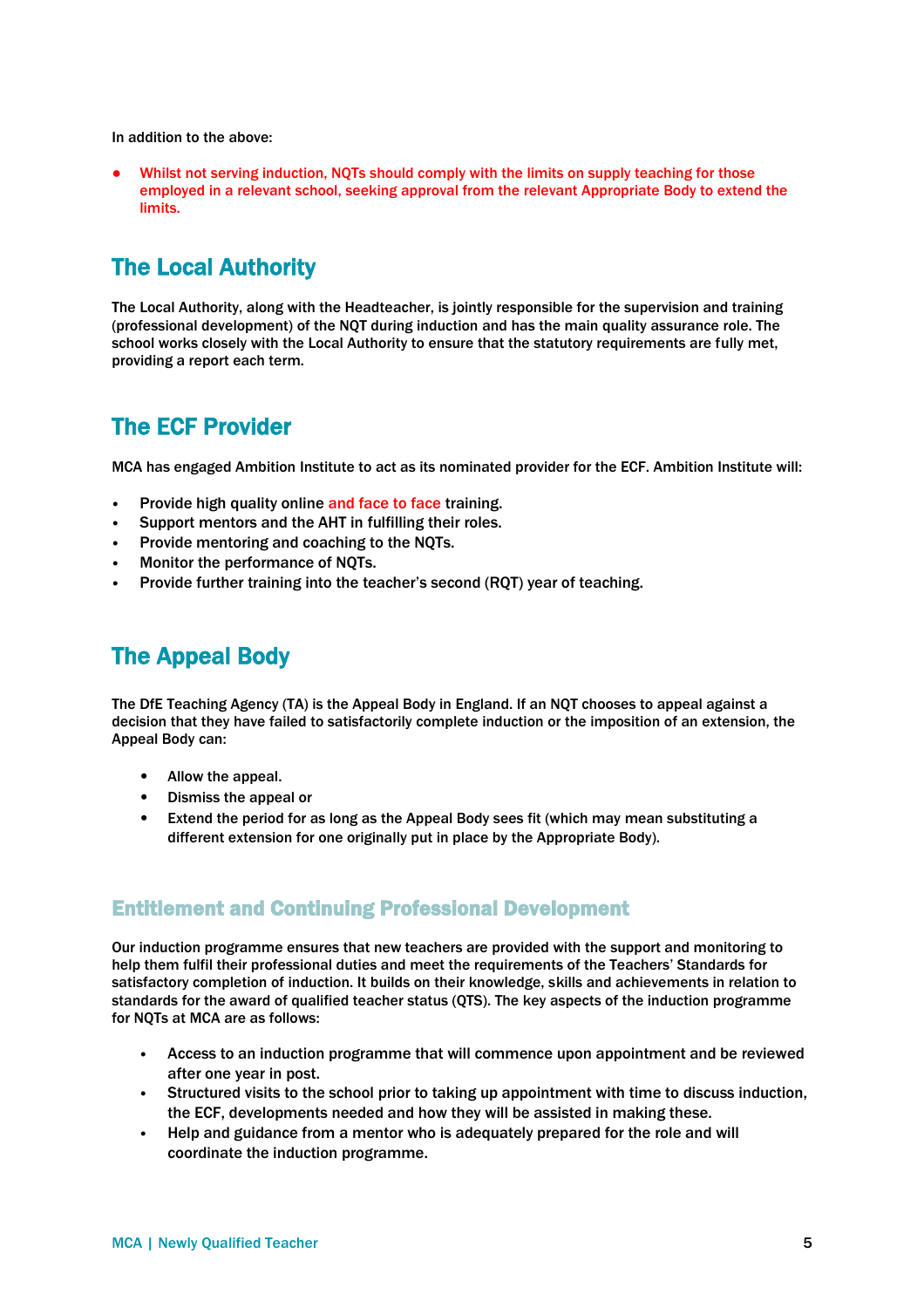In addition to the above:

Whilst not serving induction, NQTs should comply with the limits on supply teaching for those employed in a relevant school, seeking approval from the relevant Appropriate Body to extend the limits.

# The Local Authority

The Local Authority, along with the Headteacher, is jointly responsible for the supervision and training (professional development) of the NQT during induction and has the main quality assurance role. The school works closely with the Local Authority to ensure that the statutory requirements are fully met, providing a report each term.

#### The ECF Provider

MCA has engaged Ambition Institute to act as its nominated provider for the ECF. Ambition Institute will:

- Provide high quality online and face to face training.
- Support mentors and the AHT in fulfilling their roles.
- Provide mentoring and coaching to the NQTs.
- Monitor the performance of NQTs.
- Provide further training into the teacher's second (RQT) year of teaching.

#### The Appeal Body

The DfE Teaching Agency (TA) is the Appeal Body in England. If an NQT chooses to appeal against a decision that they have failed to satisfactorily complete induction or the imposition of an extension, the Appeal Body can:

- Allow the appeal.
- Dismiss the appeal or
- Extend the period for as long as the Appeal Body sees fit (which may mean substituting a different extension for one originally put in place by the Appropriate Body).

#### Entitlement and Continuing Professional Development

Our induction programme ensures that new teachers are provided with the support and monitoring to help them fulfil their professional duties and meet the requirements of the Teachers' Standards for satisfactory completion of induction. It builds on their knowledge, skills and achievements in relation to standards for the award of qualified teacher status (QTS). The key aspects of the induction programme for NQTs at MCA are as follows:

- Access to an induction programme that will commence upon appointment and be reviewed after one year in post.
- Structured visits to the school prior to taking up appointment with time to discuss induction, the ECF, developments needed and how they will be assisted in making these.
- Help and guidance from a mentor who is adequately prepared for the role and will coordinate the induction programme.